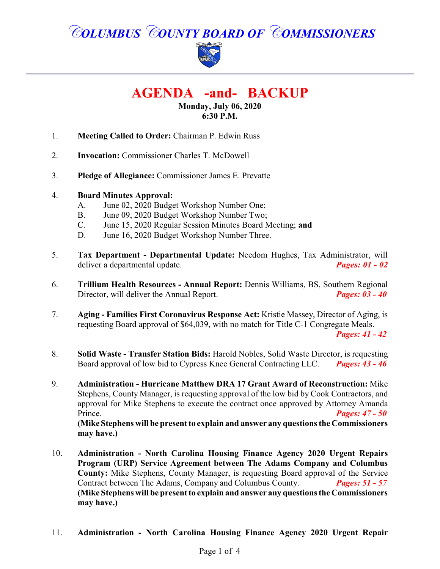# *COLUMBUS COUNTY BOARD OF COMMISSIONERS*



## **AGENDA -and- BACKUP**

#### **Monday, July 06, 2020 6:30 P.M.**

- 1. **Meeting Called to Order:** Chairman P. Edwin Russ
- 2. **Invocation:** Commissioner Charles T. McDowell
- 3. **Pledge of Allegiance:** Commissioner James E. Prevatte
- 4. **Board Minutes Approval:**
	- A. June 02, 2020 Budget Workshop Number One;
	- B. June 09, 2020 Budget Workshop Number Two;
	- C. June 15, 2020 Regular Session Minutes Board Meeting; **and**
	- D. June 16, 2020 Budget Workshop Number Three.
- 5. **Tax Department - Departmental Update:** Needom Hughes, Tax Administrator, will deliver a departmental update. *Pages: 01 - 02*
- 6. **Trillium Health Resources Annual Report:** Dennis Williams, BS, Southern Regional Director, will deliver the Annual Report. *Pages: 03 - 40*
- 7. **Aging Families First Coronavirus Response Act:** Kristie Massey, Director of Aging, is requesting Board approval of \$64,039, with no match for Title C-1 Congregate Meals.

*Pages: 41 - 42*

- 8. **Solid Waste Transfer Station Bids:** Harold Nobles, Solid Waste Director, is requesting Board approval of low bid to Cypress Knee General Contracting LLC. *Pages: 43 - 46*
- 9. **Administration Hurricane Matthew DRA 17 Grant Award of Reconstruction:** Mike Stephens, County Manager, is requesting approval of the low bid by Cook Contractors, and approval for Mike Stephens to execute the contract once approved by Attorney Amanda Prince. *Pages: 47 - 50*

**(Mike Stephens will be present to explain and answer any questions the Commissioners may have.)**

- 10. **Administration North Carolina Housing Finance Agency 2020 Urgent Repairs Program (URP) Service Agreement between The Adams Company and Columbus County:** Mike Stephens, County Manager, is requesting Board approval of the Service Contract between The Adams, Company and Columbus County. *Pages: 51 - 57* **(Mike Stephens will be present to explain and answer any questions the Commissioners may have.)**
- 11. **Administration North Carolina Housing Finance Agency 2020 Urgent Repair**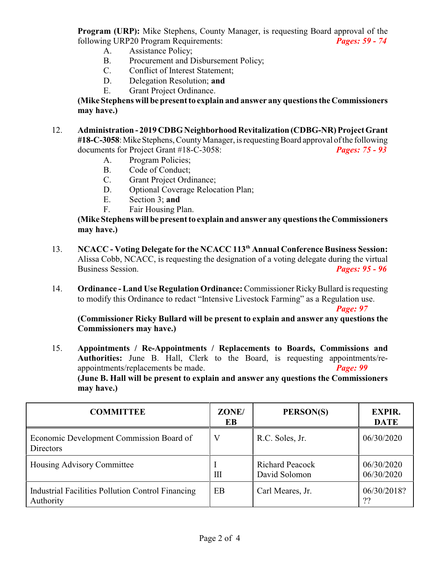**Program (URP):** Mike Stephens, County Manager, is requesting Board approval of the following URP20 Program Requirements: *Pages: 59 - 74*

- A. Assistance Policy;
- B. Procurement and Disbursement Policy;
- C. Conflict of Interest Statement;
- D. Delegation Resolution; **and**
- E. Grant Project Ordinance.

**(Mike Stephens will be present to explain and answer any questions the Commissioners may have.)**

- 12. **Administration 2019 CDBG Neighborhood Revitalization (CDBG-NR) Project Grant** #18-C-3058: Mike Stephens, County Manager, is requesting Board approval of the following documents for Project Grant #18-C-3058: *Pages: 75 - 93*
	- A. Program Policies;
	- B. Code of Conduct;
	- C. Grant Project Ordinance;
	- D. Optional Coverage Relocation Plan;
	- E. Section 3; **and**
	- F. Fair Housing Plan.

**(Mike Stephens will be present to explain and answer any questions the Commissioners may have.)**

- 13. **NCACC Voting Delegate for the NCACC 113th Annual Conference Business Session:** Alissa Cobb, NCACC, is requesting the designation of a voting delegate during the virtual Business Session. *Pages: 95 - 96*
- 14. **Ordinance Land Use Regulation Ordinance:** Commissioner RickyBullard is requesting to modify this Ordinance to redact "Intensive Livestock Farming" as a Regulation use.

*Page: 97*

**(Commissioner Ricky Bullard will be present to explain and answer any questions the Commissioners may have.)**

15. **Appointments / Re-Appointments / Replacements to Boards, Commissions and Authorities:** June B. Hall, Clerk to the Board, is requesting appointments/reappointments/replacements be made. *Page: 99* 

**(June B. Hall will be present to explain and answer any questions the Commissioners may have.)**

| <b>COMMITTEE</b>                                                      | ZONE/<br>EB | PERSON(S)                               | <b>EXPIR.</b><br><b>DATE</b> |
|-----------------------------------------------------------------------|-------------|-----------------------------------------|------------------------------|
| Economic Development Commission Board of<br><b>Directors</b>          |             | R.C. Soles, Jr.                         | 06/30/2020                   |
| Housing Advisory Committee                                            | Ш           | <b>Richard Peacock</b><br>David Solomon | 06/30/2020<br>06/30/2020     |
| <b>Industrial Facilities Pollution Control Financing</b><br>Authority | EB          | Carl Meares, Jr.                        | 06/30/2018?<br>??            |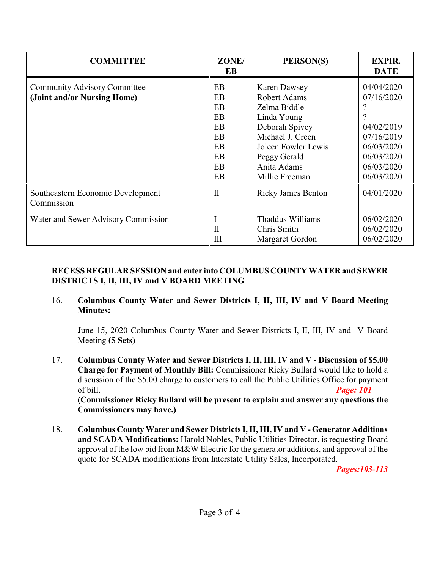| <b>COMMITTEE</b>                                                   | ZONE/<br>EB                                              | PERSON(S)                                                                                                                                                                        | <b>EXPIR.</b><br><b>DATE</b>                                                                                 |
|--------------------------------------------------------------------|----------------------------------------------------------|----------------------------------------------------------------------------------------------------------------------------------------------------------------------------------|--------------------------------------------------------------------------------------------------------------|
| <b>Community Advisory Committee</b><br>(Joint and/or Nursing Home) | EB<br>EB<br>EB<br>EB<br>EB<br>EB<br>EB<br>EB<br>EB<br>EB | <b>Karen Dawsey</b><br>Robert Adams<br>Zelma Biddle<br>Linda Young<br>Deborah Spivey<br>Michael J. Creen<br>Joleen Fowler Lewis<br>Peggy Gerald<br>Anita Adams<br>Millie Freeman | 04/04/2020<br>07/16/2020<br>04/02/2019<br>07/16/2019<br>06/03/2020<br>06/03/2020<br>06/03/2020<br>06/03/2020 |
| Southeastern Economic Development<br>Commission                    | $\mathbf{I}$                                             | <b>Ricky James Benton</b>                                                                                                                                                        | 04/01/2020                                                                                                   |
| Water and Sewer Advisory Commission                                | $\mathbf{I}$<br>Ш                                        | Thaddus Williams<br>Chris Smith<br>Margaret Gordon                                                                                                                               | 06/02/2020<br>06/02/2020<br>06/02/2020                                                                       |

### **RECESSREGULAR SESSION and enter into COLUMBUS COUNTYWATERand SEWER DISTRICTS I, II, III, IV and V BOARD MEETING**

#### 16. **Columbus County Water and Sewer Districts I, II, III, IV and V Board Meeting Minutes:**

June 15, 2020 Columbus County Water and Sewer Districts I, II, III, IV and V Board Meeting **(5 Sets)**

17. **Columbus County Water and Sewer Districts I, II, III, IV and V - Discussion of \$5.00 Charge for Payment of Monthly Bill:** Commissioner Ricky Bullard would like to hold a discussion of the \$5.00 charge to customers to call the Public Utilities Office for payment of bill. *Page: 101*

**(Commissioner Ricky Bullard will be present to explain and answer any questions the Commissioners may have.)**

18. **Columbus County Water and Sewer Districts I, II, III, IV and V - Generator Additions and SCADA Modifications:** Harold Nobles, Public Utilities Director, is requesting Board approval of the low bid from M&W Electric for the generator additions, and approval of the quote for SCADA modifications from Interstate Utility Sales, Incorporated.

*Pages:103-113*